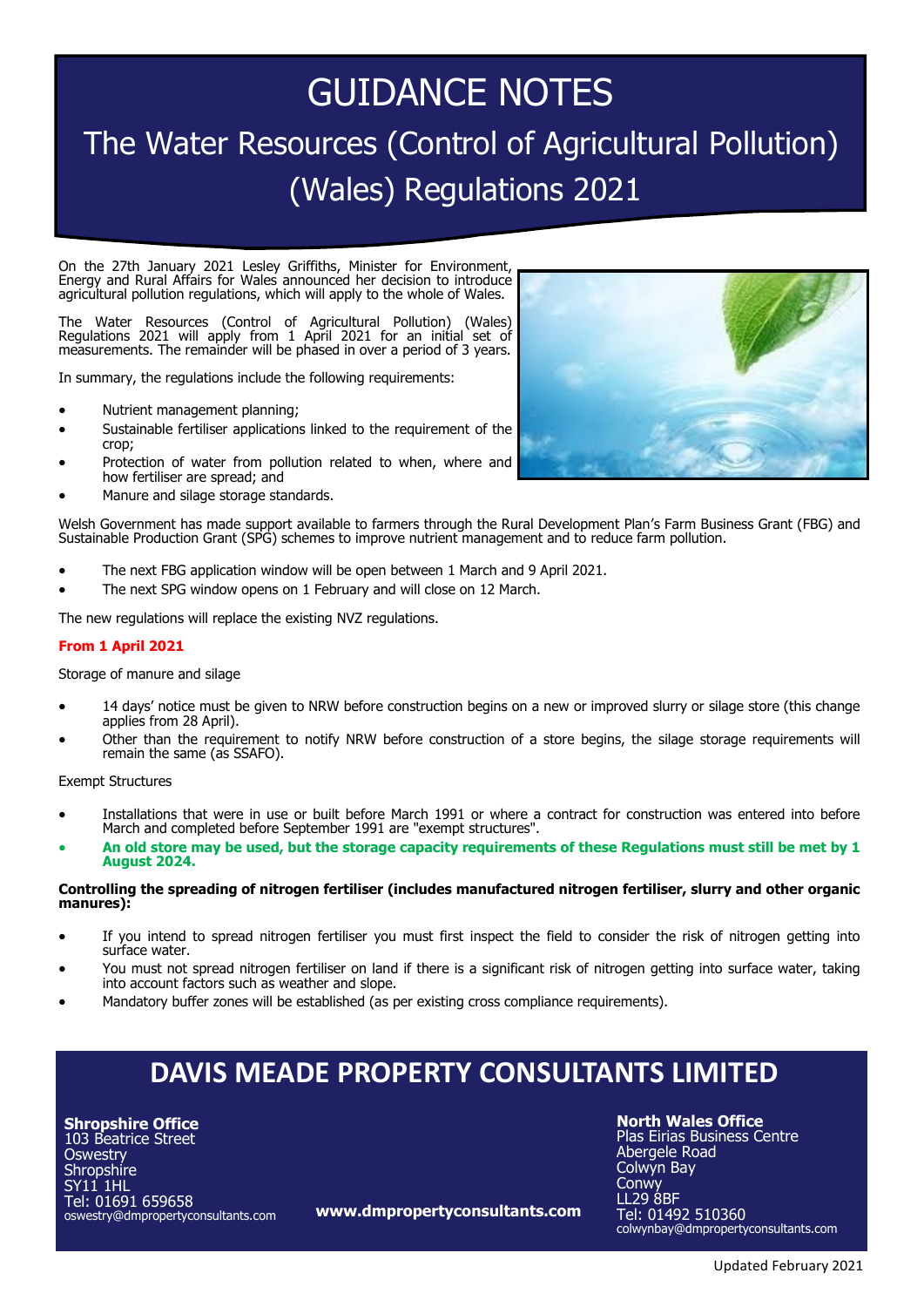# GUIDANCE NOTES The Water Resources (Control of Agricultural Pollution) (Wales) Regulations 2021

On the 27th January 2021 Lesley Griffiths, Minister for Environment, Energy and Rural Affairs for Wales announced her decision to introduce agricultural pollution regulations, which will apply to the whole of Wales.

The Water Resources (Control of Agricultural Pollution) (Wales) Regulations 2021 will apply from 1 April 2021 for an initial set of measurements. The remainder will be phased in over a period of 3 years.

In summary, the regulations include the following requirements:

- Nutrient management planning;
- Sustainable fertiliser applications linked to the requirement of the crop;
- Protection of water from pollution related to when, where and how fertiliser are spread; and
- Manure and silage storage standards.

Welsh Government has made support available to farmers through the Rural Development Plan's Farm Business Grant (FBG) and Sustainable Production Grant (SPG) schemes to improve nutrient management and to reduce farm pollution.

- The next FBG application window will be open between 1 March and 9 April 2021.
- The next SPG window opens on 1 February and will close on 12 March.

The new regulations will replace the existing NVZ regulations.

# **From 1 April 2021**

Storage of manure and silage

- 14 days' notice must be given to NRW before construction begins on a new or improved slurry or silage store (this change applies from 28 April).
- Other than the requirement to notify NRW before construction of a store begins, the silage storage requirements will remain the same (as SSAFO).

Exempt Structures

- Installations that were in use or built before March 1991 or where a contract for construction was entered into before March and completed before September 1991 are "exempt structures".
- **An old store may be used, but the storage capacity requirements of these Regulations must still be met by 1 August 2024.**

# **Controlling the spreading of nitrogen fertiliser (includes manufactured nitrogen fertiliser, slurry and other organic manures):**

- If you intend to spread nitrogen fertiliser you must first inspect the field to consider the risk of nitrogen getting into surface water.
- You must not spread nitrogen fertiliser on land if there is a significant risk of nitrogen getting into surface water, taking into account factors such as weather and slope.
- Mandatory buffer zones will be established (as per existing cross compliance requirements).

# **DAVIS MEADE PROPERTY CONSULTANTS LIMITED**

**Shropshire Office** 103 Beatrice Street **Oswestry Shropshire** SY11 1HL Tel: 01691 659658 oswestry@dmpropertyconsultants.com

**www.dmpropertyconsultants.com**

**North Wales Office**

Plas Eirias Business Centre Abergele Road Colwyn Bay **Conwy** LL29 8BF Tel: 01492 510360 colwynbay@dmpropertyconsultants.com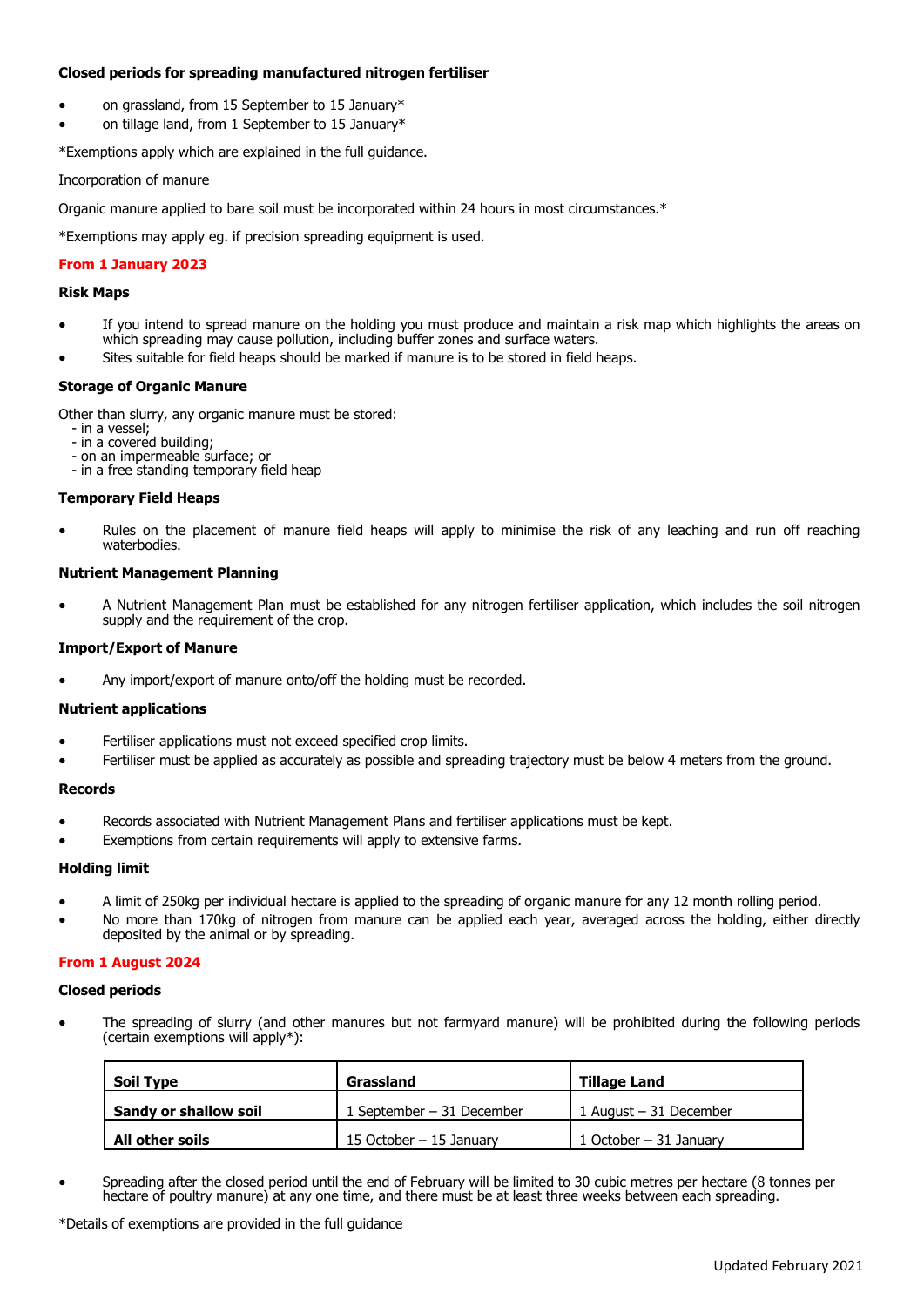# **Closed periods for spreading manufactured nitrogen fertiliser**

- on grassland, from 15 September to 15 January\*
- on tillage land, from 1 September to 15 January\*

\*Exemptions apply which are explained in the full guidance.

# Incorporation of manure

Organic manure applied to bare soil must be incorporated within 24 hours in most circumstances.\*

\*Exemptions may apply eg. if precision spreading equipment is used.

# **From 1 January 2023**

# **Risk Maps**

- If you intend to spread manure on the holding you must produce and maintain a risk map which highlights the areas on which spreading may cause pollution, including buffer zones and surface waters.
- Sites suitable for field heaps should be marked if manure is to be stored in field heaps.

# **Storage of Organic Manure**

Other than slurry, any organic manure must be stored:

- in a vessel;
- in a covered building;
- on an impermeable surface; or - in a free standing temporary field heap

# **Temporary Field Heaps**

• Rules on the placement of manure field heaps will apply to minimise the risk of any leaching and run off reaching waterbodies.

# **Nutrient Management Planning**

• A Nutrient Management Plan must be established for any nitrogen fertiliser application, which includes the soil nitrogen supply and the requirement of the crop.

# **Import/Export of Manure**

Any import/export of manure onto/off the holding must be recorded.

# **Nutrient applications**

- Fertiliser applications must not exceed specified crop limits.
- Fertiliser must be applied as accurately as possible and spreading trajectory must be below 4 meters from the ground.

# **Records**

- Records associated with Nutrient Management Plans and fertiliser applications must be kept.
- Exemptions from certain requirements will apply to extensive farms.

# **Holding limit**

- A limit of 250kg per individual hectare is applied to the spreading of organic manure for any 12 month rolling period.
- No more than 170kg of nitrogen from manure can be applied each year, averaged across the holding, either directly deposited by the animal or by spreading.

# **From 1 August 2024**

# **Closed periods**

• The spreading of slurry (and other manures but not farmyard manure) will be prohibited during the following periods (certain exemptions will apply\*):

| <b>Soil Type</b>      | Grassland                  | <b>Tillage Land</b>     |
|-----------------------|----------------------------|-------------------------|
| Sandy or shallow soil | 1 September $-31$ December | 1 August $-31$ December |
| All other soils       | 15 October – 15 January    | 1 October $-31$ January |

• Spreading after the closed period until the end of February will be limited to 30 cubic metres per hectare (8 tonnes per hectare of poultry manure) at any one time, and there must be at least three weeks between each spreading.